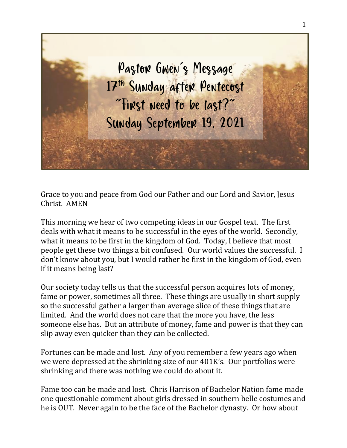

Grace to you and peace from God our Father and our Lord and Savior, Jesus Christ. AMEN

This morning we hear of two competing ideas in our Gospel text. The first deals with what it means to be successful in the eyes of the world. Secondly, what it means to be first in the kingdom of God. Today, I believe that most people get these two things a bit confused. Our world values the successful. I don't know about you, but I would rather be first in the kingdom of God, even if it means being last?

Our society today tells us that the successful person acquires lots of money, fame or power, sometimes all three. These things are usually in short supply so the successful gather a larger than average slice of these things that are limited. And the world does not care that the more you have, the less someone else has. But an attribute of money, fame and power is that they can slip away even quicker than they can be collected.

Fortunes can be made and lost. Any of you remember a few years ago when we were depressed at the shrinking size of our 401K's. Our portfolios were shrinking and there was nothing we could do about it.

Fame too can be made and lost. Chris Harrison of Bachelor Nation fame made one questionable comment about girls dressed in southern belle costumes and he is OUT. Never again to be the face of the Bachelor dynasty. Or how about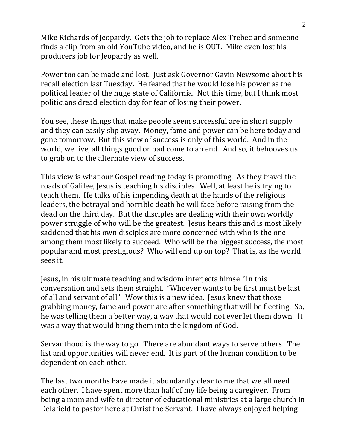Mike Richards of Jeopardy. Gets the job to replace Alex Trebec and someone finds a clip from an old YouTube video, and he is OUT. Mike even lost his producers job for Jeopardy as well.

Power too can be made and lost. Just ask Governor Gavin Newsome about his recall election last Tuesday. He feared that he would lose his power as the political leader of the huge state of California. Not this time, but I think most politicians dread election day for fear of losing their power.

You see, these things that make people seem successful are in short supply and they can easily slip away. Money, fame and power can be here today and gone tomorrow. But this view of success is only of this world. And in the world, we live, all things good or bad come to an end. And so, it behooves us to grab on to the alternate view of success.

This view is what our Gospel reading today is promoting. As they travel the roads of Galilee, Jesus is teaching his disciples. Well, at least he is trying to teach them. He talks of his impending death at the hands of the religious leaders, the betrayal and horrible death he will face before raising from the dead on the third day. But the disciples are dealing with their own worldly power struggle of who will be the greatest. Jesus hears this and is most likely saddened that his own disciples are more concerned with who is the one among them most likely to succeed. Who will be the biggest success, the most popular and most prestigious? Who will end up on top? That is, as the world sees it.

Jesus, in his ultimate teaching and wisdom interjects himself in this conversation and sets them straight. "Whoever wants to be first must be last of all and servant of all." Wow this is a new idea. Jesus knew that those grabbing money, fame and power are after something that will be fleeting. So, he was telling them a better way, a way that would not ever let them down. It was a way that would bring them into the kingdom of God.

Servanthood is the way to go. There are abundant ways to serve others. The list and opportunities will never end. It is part of the human condition to be dependent on each other.

The last two months have made it abundantly clear to me that we all need each other. I have spent more than half of my life being a caregiver. From being a mom and wife to director of educational ministries at a large church in Delafield to pastor here at Christ the Servant. I have always enjoyed helping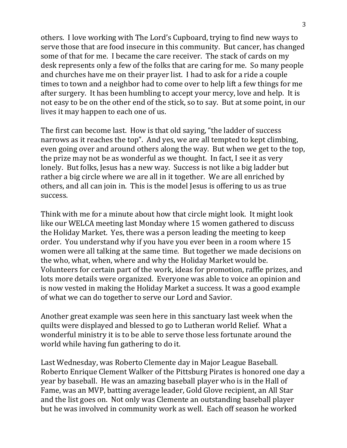others. I love working with The Lord's Cupboard, trying to find new ways to serve those that are food insecure in this community. But cancer, has changed some of that for me. I became the care receiver. The stack of cards on my desk represents only a few of the folks that are caring for me. So many people and churches have me on their prayer list. I had to ask for a ride a couple times to town and a neighbor had to come over to help lift a few things for me after surgery. It has been humbling to accept your mercy, love and help. It is not easy to be on the other end of the stick, so to say. But at some point, in our lives it may happen to each one of us.

The first can become last. How is that old saying, "the ladder of success narrows as it reaches the top". And yes, we are all tempted to kept climbing, even going over and around others along the way. But when we get to the top, the prize may not be as wonderful as we thought. In fact, I see it as very lonely. But folks, Jesus has a new way. Success is not like a big ladder but rather a big circle where we are all in it together. We are all enriched by others, and all can join in. This is the model Jesus is offering to us as true success.

Think with me for a minute about how that circle might look. It might look like our WELCA meeting last Monday where 15 women gathered to discuss the Holiday Market. Yes, there was a person leading the meeting to keep order. You understand why if you have you ever been in a room where 15 women were all talking at the same time. But together we made decisions on the who, what, when, where and why the Holiday Market would be. Volunteers for certain part of the work, ideas for promotion, raffle prizes, and lots more details were organized. Everyone was able to voice an opinion and is now vested in making the Holiday Market a success. It was a good example of what we can do together to serve our Lord and Savior.

Another great example was seen here in this sanctuary last week when the quilts were displayed and blessed to go to Lutheran world Relief. What a wonderful ministry it is to be able to serve those less fortunate around the world while having fun gathering to do it.

Last Wednesday, was Roberto Clemente day in Major League Baseball. Roberto Enrique Clement Walker of the Pittsburg Pirates is honored one day a year by baseball. He was an amazing baseball player who is in the Hall of Fame, was an MVP, batting average leader, Gold Glove recipient, an All Star and the list goes on. Not only was Clemente an outstanding baseball player but he was involved in community work as well. Each off season he worked